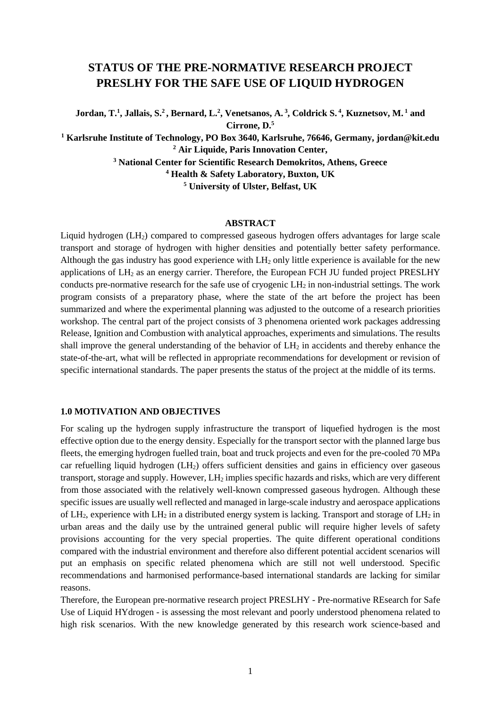# **STATUS OF THE PRE-NORMATIVE RESEARCH PROJECT PRESLHY FOR THE SAFE USE OF LIQUID HYDROGEN**

**Jordan, T.1 , Jallais, S.2 , Bernard, L.2 , Venetsanos, A. <sup>3</sup> , Coldrick S. <sup>4</sup> , Kuznetsov, M. <sup>1</sup> and Cirrone, D.5 <sup>1</sup> Karlsruhe Institute of Technology, PO Box 3640, Karlsruhe, 76646, Germany, jordan@kit.edu**

**<sup>2</sup> Air Liquide, Paris Innovation Center, <sup>3</sup> National Center for Scientific Research Demokritos, Athens, Greece**

**<sup>4</sup> Health & Safety Laboratory, Buxton, UK**

**<sup>5</sup> University of Ulster, Belfast, UK**

#### **ABSTRACT**

Liquid hydrogen  $(LH_2)$  compared to compressed gaseous hydrogen offers advantages for large scale transport and storage of hydrogen with higher densities and potentially better safety performance. Although the gas industry has good experience with  $LH_2$  only little experience is available for the new applications of  $LH_2$  as an energy carrier. Therefore, the European FCH JU funded project PRESLHY conducts pre-normative research for the safe use of cryogenic LH<sub>2</sub> in non-industrial settings. The work program consists of a preparatory phase, where the state of the art before the project has been summarized and where the experimental planning was adjusted to the outcome of a research priorities workshop. The central part of the project consists of 3 phenomena oriented work packages addressing Release, Ignition and Combustion with analytical approaches, experiments and simulations. The results shall improve the general understanding of the behavior of  $LH_2$  in accidents and thereby enhance the state-of-the-art, what will be reflected in appropriate recommendations for development or revision of specific international standards. The paper presents the status of the project at the middle of its terms.

#### **1.0 MOTIVATION AND OBJECTIVES**

For scaling up the hydrogen supply infrastructure the transport of liquefied hydrogen is the most effective option due to the energy density. Especially for the transport sector with the planned large bus fleets, the emerging hydrogen fuelled train, boat and truck projects and even for the pre-cooled 70 MPa car refuelling liquid hydrogen (LH2) offers sufficient densities and gains in efficiency over gaseous transport, storage and supply. However, LH2 implies specific hazards and risks, which are very different from those associated with the relatively well-known compressed gaseous hydrogen. Although these specific issues are usually well reflected and managed in large-scale industry and aerospace applications of  $LH_2$ , experience with  $LH_2$  in a distributed energy system is lacking. Transport and storage of  $LH_2$  in urban areas and the daily use by the untrained general public will require higher levels of safety provisions accounting for the very special properties. The quite different operational conditions compared with the industrial environment and therefore also different potential accident scenarios will put an emphasis on specific related phenomena which are still not well understood. Specific recommendations and harmonised performance-based international standards are lacking for similar reasons.

Therefore, the European pre-normative research project PRESLHY - Pre-normative REsearch for Safe Use of Liquid HYdrogen - is assessing the most relevant and poorly understood phenomena related to high risk scenarios. With the new knowledge generated by this research work science-based and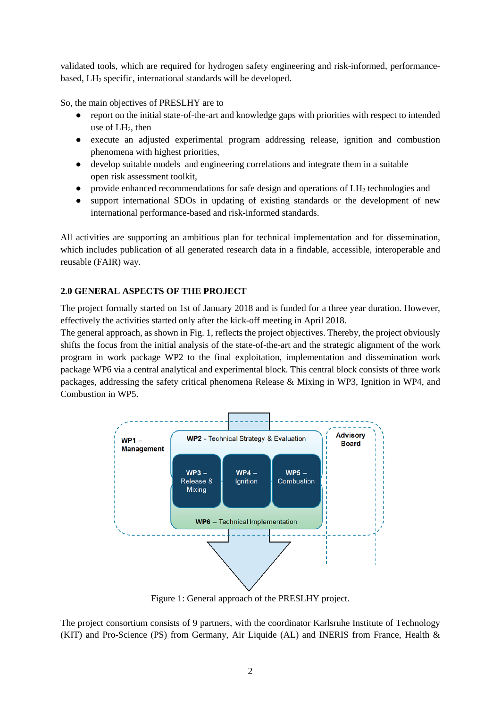validated tools, which are required for hydrogen safety engineering and risk-informed, performancebased, LH<sub>2</sub> specific, international standards will be developed.

So, the main objectives of PRESLHY are to

- report on the initial state-of-the-art and knowledge gaps with priorities with respect to intended use of  $LH_2$ , then
- execute an adjusted experimental program addressing release, ignition and combustion phenomena with highest priorities,
- develop suitable models and engineering correlations and integrate them in a suitable open risk assessment toolkit,
- $\bullet$  provide enhanced recommendations for safe design and operations of  $LH_2$  technologies and
- support international SDOs in updating of existing standards or the development of new international performance-based and risk-informed standards.

All activities are supporting an ambitious plan for technical implementation and for dissemination, which includes publication of all generated research data in a findable, accessible, interoperable and reusable (FAIR) way.

# **2.0 GENERAL ASPECTS OF THE PROJECT**

The project formally started on 1st of January 2018 and is funded for a three year duration. However, effectively the activities started only after the kick-off meeting in April 2018.

The general approach, as shown in Fig. 1, reflects the project objectives. Thereby, the project obviously shifts the focus from the initial analysis of the state-of-the-art and the strategic alignment of the work program in work package WP2 to the final exploitation, implementation and dissemination work package WP6 via a central analytical and experimental block. This central block consists of three work packages, addressing the safety critical phenomena Release & Mixing in WP3, Ignition in WP4, and Combustion in WP5.



Figure 1: General approach of the PRESLHY project.

The project consortium consists of 9 partners, with the coordinator Karlsruhe Institute of Technology (KIT) and Pro-Science (PS) from Germany, Air Liquide (AL) and INERIS from France, Health &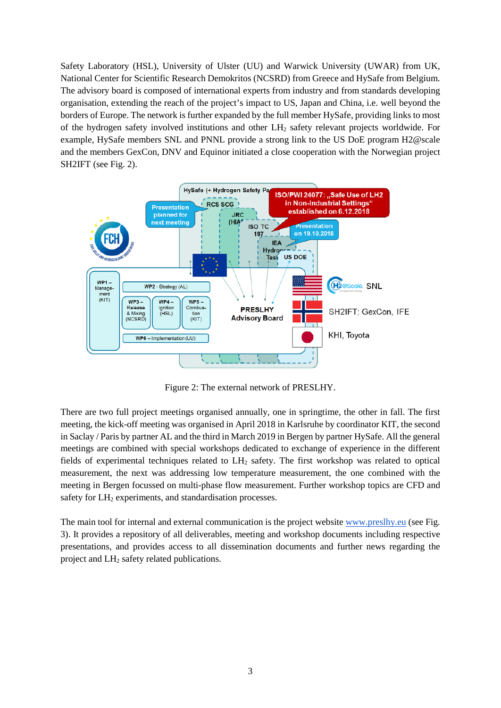Safety Laboratory (HSL), University of Ulster (UU) and Warwick University (UWAR) from UK, National Center for Scientific Research Demokritos (NCSRD) from Greece and HySafe from Belgium. The advisory board is composed of international experts from industry and from standards developing organisation, extending the reach of the project's impact to US, Japan and China, i.e. well beyond the borders of Europe. The network is further expanded by the full member HySafe, providing links to most of the hydrogen safety involved institutions and other LH2 safety relevant projects worldwide. For example, HySafe members SNL and PNNL provide a strong link to the US DoE program H2@scale and the members GexCon, DNV and Equinor initiated a close cooperation with the Norwegian project SH2IFT (see Fig. 2).



Figure 2: The external network of PRESLHY.

There are two full project meetings organised annually, one in springtime, the other in fall. The first meeting, the kick-off meeting was organised in April 2018 in Karlsruhe by coordinator KIT, the second in Saclay / Paris by partner AL and the third in March 2019 in Bergen by partner HySafe. All the general meetings are combined with special workshops dedicated to exchange of experience in the different fields of experimental techniques related to LH2 safety. The first workshop was related to optical measurement, the next was addressing low temperature measurement, the one combined with the meeting in Bergen focussed on multi-phase flow measurement. Further workshop topics are CFD and safety for LH<sub>2</sub> experiments, and standardisation processes.

The main tool for internal and external communication is the project website [www.preslhy.eu](http://www.preslhy.eu/) (see Fig. 3). It provides a repository of all deliverables, meeting and workshop documents including respective presentations, and provides access to all dissemination documents and further news regarding the project and LH2 safety related publications.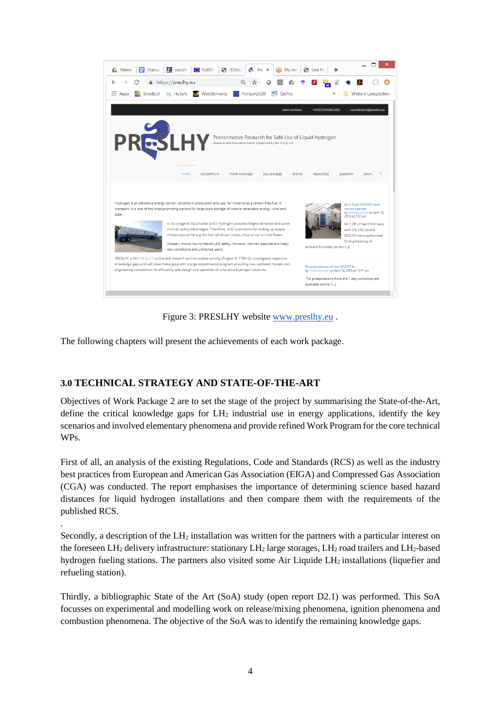

Figure 3: PRESLHY website [www.preslhy.eu](http://www.preslhy.eu/) .

The following chapters will present the achievements of each work package.

# **3.0 TECHNICAL STRATEGY AND STATE-OF-THE-ART**

.

Objectives of Work Package 2 are to set the stage of the project by summarising the State-of-the-Art, define the critical knowledge gaps for  $LH_2$  industrial use in energy applications, identify the key scenarios and involved elementary phenomena and provide refined Work Program for the core technical WPs.

First of all, an analysis of the existing Regulations, Code and Standards (RCS) as well as the industry best practices from European and American Gas Association (EIGA) and Compressed Gas Association (CGA) was conducted. The report emphasises the importance of determining science based hazard distances for liquid hydrogen installations and then compare them with the requirements of the published RCS.

Secondly, a description of the  $LH<sub>2</sub>$  installation was written for the partners with a particular interest on the foreseen  $LH_2$  delivery infrastructure: stationary  $LH_2$  large storages,  $LH_2$  road trailers and  $LH_2$ -based hydrogen fueling stations. The partners also visited some Air Liquide LH<sub>2</sub> installations (liquefier and refueling station).

Thirdly, a bibliographic State of the Art (SoA) study (open report D2.1) was performed. This SoA focusses on experimental and modelling work on release/mixing phenomena, ignition phenomena and combustion phenomena. The objective of the SoA was to identify the remaining knowledge gaps.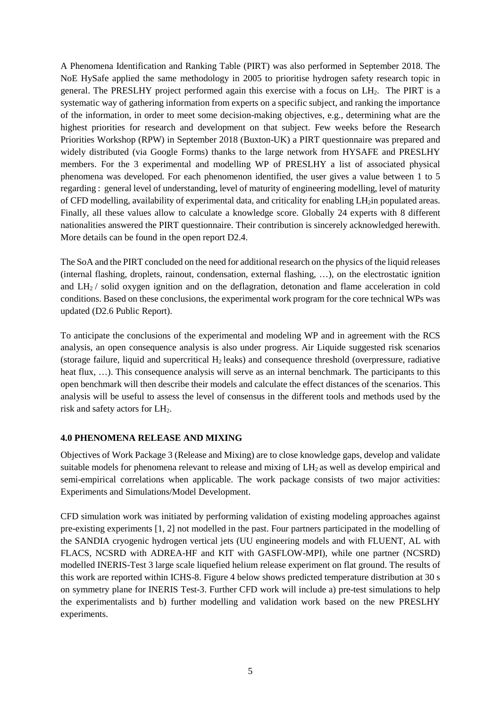A Phenomena Identification and Ranking Table (PIRT) was also performed in September 2018. The NoE HySafe applied the same methodology in 2005 to prioritise hydrogen safety research topic in general. The PRESLHY project performed again this exercise with a focus on  $LH<sub>2</sub>$ . The PIRT is a systematic way of gathering information from experts on a specific subject, and ranking the importance of the information, in order to meet some decision-making objectives, e.g., determining what are the highest priorities for research and development on that subject. Few weeks before the Research Priorities Workshop (RPW) in September 2018 (Buxton-UK) a PIRT questionnaire was prepared and widely distributed (via Google Forms) thanks to the large network from HYSAFE and PRESLHY members. For the 3 experimental and modelling WP of PRESLHY a list of associated physical phenomena was developed. For each phenomenon identified, the user gives a value between 1 to 5 regarding : general level of understanding, level of maturity of engineering modelling, level of maturity of CFD modelling, availability of experimental data, and criticality for enabling LH2in populated areas. Finally, all these values allow to calculate a knowledge score. Globally 24 experts with 8 different nationalities answered the PIRT questionnaire. Their contribution is sincerely acknowledged herewith. More details can be found in the open report D2.4.

The SoA and the PIRT concluded on the need for additional research on the physics of the liquid releases (internal flashing, droplets, rainout, condensation, external flashing, …), on the electrostatic ignition and  $LH_2$  / solid oxygen ignition and on the deflagration, detonation and flame acceleration in cold conditions. Based on these conclusions, the experimental work program for the core technical WPs was updated (D2.6 Public Report).

To anticipate the conclusions of the experimental and modeling WP and in agreement with the RCS analysis, an open consequence analysis is also under progress. Air Liquide suggested risk scenarios (storage failure, liquid and supercritical  $H_2$  leaks) and consequence threshold (overpressure, radiative heat flux, ...). This consequence analysis will serve as an internal benchmark. The participants to this open benchmark will then describe their models and calculate the effect distances of the scenarios. This analysis will be useful to assess the level of consensus in the different tools and methods used by the risk and safety actors for LH2.

## **4.0 PHENOMENA RELEASE AND MIXING**

Objectives of Work Package 3 (Release and Mixing) are to close knowledge gaps, develop and validate suitable models for phenomena relevant to release and mixing of LH<sub>2</sub> as well as develop empirical and semi-empirical correlations when applicable. The work package consists of two major activities: Experiments and Simulations/Model Development.

CFD simulation work was initiated by performing validation of existing modeling approaches against pre-existing experiments [1, 2] not modelled in the past. Four partners participated in the modelling of the SANDIA cryogenic hydrogen vertical jets (UU engineering models and with FLUENT, AL with FLACS, NCSRD with ADREA-HF and KIT with GASFLOW-MPI), while one partner (NCSRD) modelled INERIS-Test 3 large scale liquefied helium release experiment on flat ground. The results of this work are reported within ICHS-8. Figure 4 below shows predicted temperature distribution at 30 s on symmetry plane for INERIS Test-3. Further CFD work will include a) pre-test simulations to help the experimentalists and b) further modelling and validation work based on the new PRESLHY experiments.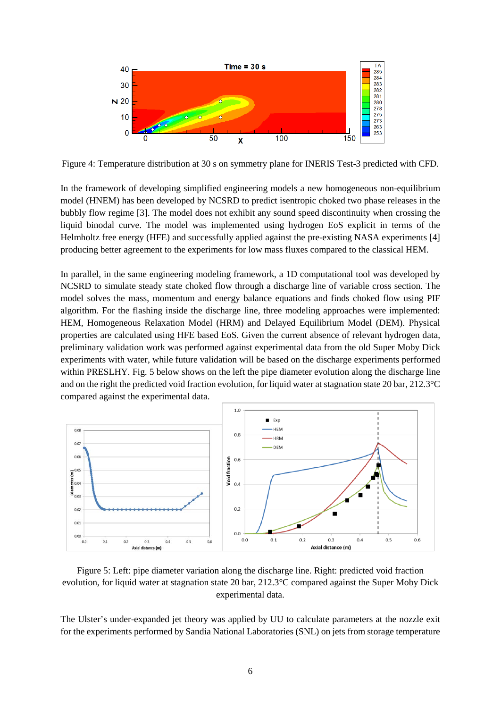

Figure 4: Temperature distribution at 30 s on symmetry plane for INERIS Test-3 predicted with CFD.

In the framework of developing simplified engineering models a new homogeneous non-equilibrium model (HNEM) has been developed by NCSRD to predict isentropic choked two phase releases in the bubbly flow regime [3]. The model does not exhibit any sound speed discontinuity when crossing the liquid binodal curve. The model was implemented using hydrogen EoS explicit in terms of the Helmholtz free energy (HFE) and successfully applied against the pre-existing NASA experiments [4] producing better agreement to the experiments for low mass fluxes compared to the classical HEM.

In parallel, in the same engineering modeling framework, a 1D computational tool was developed by NCSRD to simulate steady state choked flow through a discharge line of variable cross section. The model solves the mass, momentum and energy balance equations and finds choked flow using PIF algorithm. For the flashing inside the discharge line, three modeling approaches were implemented: HEM, Homogeneous Relaxation Model (HRM) and Delayed Equilibrium Model (DEM). Physical properties are calculated using HFE based EoS. Given the current absence of relevant hydrogen data, preliminary validation work was performed against experimental data from the old Super Moby Dick experiments with water, while future validation will be based on the discharge experiments performed within PRESLHY. Fig. 5 below shows on the left the pipe diameter evolution along the discharge line and on the right the predicted void fraction evolution, for liquid water at stagnation state 20 bar, 212.3°C compared against the experimental data.



Figure 5: Left: pipe diameter variation along the discharge line. Right: predicted void fraction evolution, for liquid water at stagnation state 20 bar, 212.3°C compared against the Super Moby Dick experimental data.

The Ulster's under-expanded jet theory was applied by UU to calculate parameters at the nozzle exit for the experiments performed by Sandia National Laboratories (SNL) on jets from storage temperature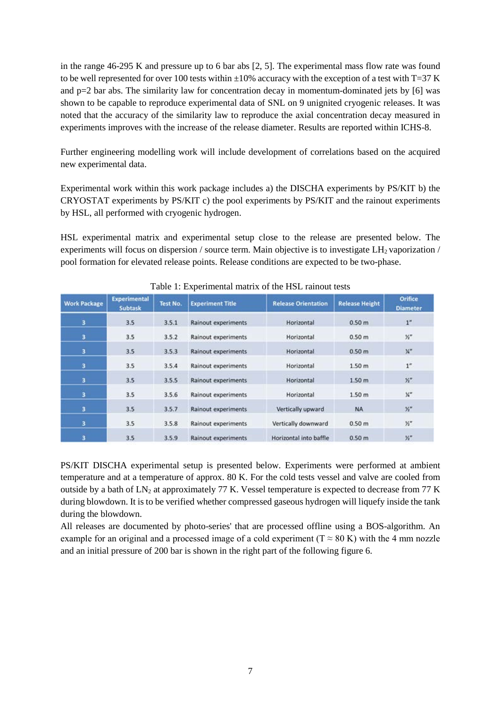in the range 46-295 K and pressure up to 6 bar abs [2, 5]. The experimental mass flow rate was found to be well represented for over 100 tests within  $\pm 10\%$  accuracy with the exception of a test with T=37 K and  $p=2$  bar abs. The similarity law for concentration decay in momentum-dominated jets by [6] was shown to be capable to reproduce experimental data of SNL on 9 unignited cryogenic releases. It was noted that the accuracy of the similarity law to reproduce the axial concentration decay measured in experiments improves with the increase of the release diameter. Results are reported within ICHS-8.

Further engineering modelling work will include development of correlations based on the acquired new experimental data.

Experimental work within this work package includes a) the DISCHA experiments by PS/KIT b) the CRYOSTAT experiments by PS/KIT c) the pool experiments by PS/KIT and the rainout experiments by HSL, all performed with cryogenic hydrogen.

HSL experimental matrix and experimental setup close to the release are presented below. The experiments will focus on dispersion / source term. Main objective is to investigate  $LH_2$  vaporization / pool formation for elevated release points. Release conditions are expected to be two-phase.

| <b>Work Package</b> | <b>Experimental</b><br>Subtask | <b>Test No.</b> | <b>Experiment Title</b>    | <b>Release Orientation</b> | <b>Release Height</b> | <b>Orifice</b><br><b>Diameter</b> |
|---------------------|--------------------------------|-----------------|----------------------------|----------------------------|-----------------------|-----------------------------------|
| 3                   | 3.5                            | 3.5.1           | Rainout experiments        | Horizontal                 | 0.50 <sub>m</sub>     | 1"                                |
| з                   | 3.5                            | 3.5.2           | Rainout experiments        | Horizontal                 | 0.50 <sub>m</sub>     | $Y_2$ "                           |
| 3                   | 3.5                            | 3.5.3           | Rainout experiments        | Horizontal                 | 0.50 <sub>m</sub>     | X''                               |
| 3                   | 3.5                            | 3.5.4           | Rainout experiments        | Horizontal                 | 1.50 <sub>m</sub>     | 1''                               |
| з                   | 3.5                            | 3.5.5           | Rainout experiments        | Horizontal                 | 1.50 m                | $Y_2$ <sup>11</sup>               |
| 3                   | 3.5                            | 3.5.6           | Rainout experiments        | Horizontal                 | 1.50 <sub>m</sub>     | $\mathcal{H}^{\prime\prime}$      |
| 3                   | 3.5                            | 3.5.7           | <b>Rainout experiments</b> | Vertically upward          | <b>NA</b>             | $\mathcal{Y}_2$                   |
| 3                   | 3.5                            | 3.5.8           | Rainout experiments        | Vertically downward        | 0.50 <sub>m</sub>     | $\mathcal{V}''$                   |
| 3                   | 3.5                            | 3.5.9           | Rainout experiments        | Horizontal into baffle     | 0.50 <sub>m</sub>     | $Y''_2$                           |

Table 1: Experimental matrix of the HSL rainout tests

PS/KIT DISCHA experimental setup is presented below. Experiments were performed at ambient temperature and at a temperature of approx. 80 K. For the cold tests vessel and valve are cooled from outside by a bath of  $LN_2$  at approximately 77 K. Vessel temperature is expected to decrease from 77 K during blowdown. It is to be verified whether compressed gaseous hydrogen will liquefy inside the tank during the blowdown.

All releases are documented by photo-series' that are processed offline using a BOS-algorithm. An example for an original and a processed image of a cold experiment ( $T \approx 80$  K) with the 4 mm nozzle and an initial pressure of 200 bar is shown in the right part of the following figure 6.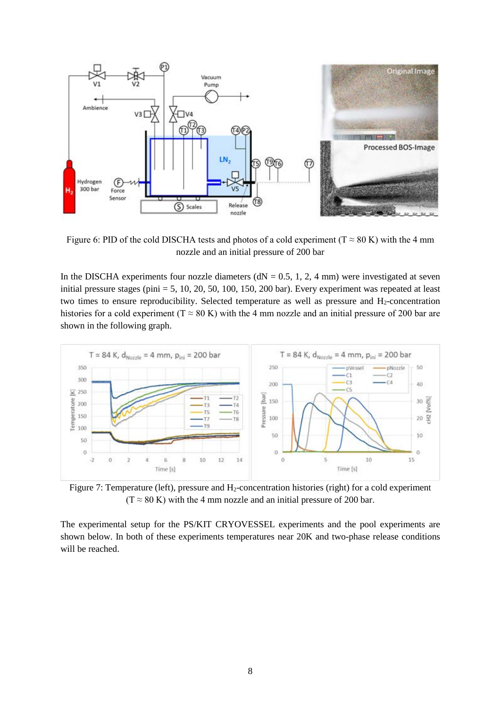

Figure 6: PID of the cold DISCHA tests and photos of a cold experiment ( $T \approx 80$  K) with the 4 mm nozzle and an initial pressure of 200 bar

In the DISCHA experiments four nozzle diameters ( $dN = 0.5, 1, 2, 4$  mm) were investigated at seven initial pressure stages (pini  $= 5, 10, 20, 50, 100, 150, 200$  bar). Every experiment was repeated at least two times to ensure reproducibility. Selected temperature as well as pressure and  $H_2$ -concentration histories for a cold experiment (T  $\approx 80$  K) with the 4 mm nozzle and an initial pressure of 200 bar are shown in the following graph.



Figure 7: Temperature (left), pressure and H<sub>2</sub>-concentration histories (right) for a cold experiment  $(T \approx 80 \text{ K})$  with the 4 mm nozzle and an initial pressure of 200 bar.

The experimental setup for the PS/KIT CRYOVESSEL experiments and the pool experiments are shown below. In both of these experiments temperatures near 20K and two-phase release conditions will be reached.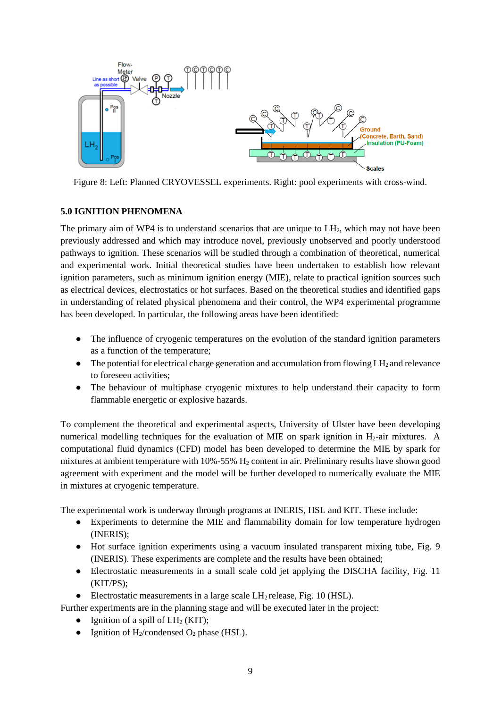

Figure 8: Left: Planned CRYOVESSEL experiments. Right: pool experiments with cross-wind.

# **5.0 IGNITION PHENOMENA**

The primary aim of WP4 is to understand scenarios that are unique to LH<sub>2</sub>, which may not have been previously addressed and which may introduce novel, previously unobserved and poorly understood pathways to ignition. These scenarios will be studied through a combination of theoretical, numerical and experimental work. Initial theoretical studies have been undertaken to establish how relevant ignition parameters, such as minimum ignition energy (MIE), relate to practical ignition sources such as electrical devices, electrostatics or hot surfaces. Based on the theoretical studies and identified gaps in understanding of related physical phenomena and their control, the WP4 experimental programme has been developed. In particular, the following areas have been identified:

- The influence of cryogenic temperatures on the evolution of the standard ignition parameters as a function of the temperature;
- $\bullet$  The potential for electrical charge generation and accumulation from flowing LH<sub>2</sub> and relevance to foreseen activities;
- The behaviour of multiphase cryogenic mixtures to help understand their capacity to form flammable energetic or explosive hazards.

To complement the theoretical and experimental aspects, University of Ulster have been developing numerical modelling techniques for the evaluation of MIE on spark ignition in  $H_2$ -air mixtures. A computational fluid dynamics (CFD) model has been developed to determine the MIE by spark for mixtures at ambient temperature with 10%-55% H2 content in air. Preliminary results have shown good agreement with experiment and the model will be further developed to numerically evaluate the MIE in mixtures at cryogenic temperature.

The experimental work is underway through programs at INERIS, HSL and KIT. These include:

- Experiments to determine the MIE and flammability domain for low temperature hydrogen (INERIS);
- Hot surface ignition experiments using a vacuum insulated transparent mixing tube, Fig. 9 (INERIS). These experiments are complete and the results have been obtained;
- Electrostatic measurements in a small scale cold jet applying the DISCHA facility, Fig. 11 (KIT/PS);
- Electrostatic measurements in a large scale  $LH_2$  release, Fig. 10 (HSL).

Further experiments are in the planning stage and will be executed later in the project:

- Ignition of a spill of  $LH_2$  (KIT);
- Ignition of  $H_2$ /condensed  $O_2$  phase (HSL).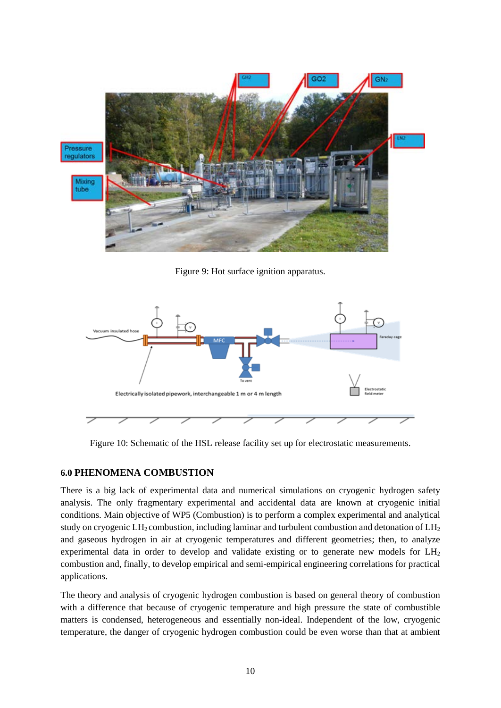

Figure 9: Hot surface ignition apparatus.



Figure 10: Schematic of the HSL release facility set up for electrostatic measurements.

## **6.0 PHENOMENA COMBUSTION**

There is a big lack of experimental data and numerical simulations on cryogenic hydrogen safety analysis. The only fragmentary experimental and accidental data are known at cryogenic initial conditions. Main objective of WP5 (Combustion) is to perform a complex experimental and analytical study on cryogenic  $LH_2$  combustion, including laminar and turbulent combustion and detonation of  $LH_2$ and gaseous hydrogen in air at cryogenic temperatures and different geometries; then, to analyze experimental data in order to develop and validate existing or to generate new models for  $LH<sub>2</sub>$ combustion and, finally, to develop empirical and semi-empirical engineering correlations for practical applications.

The theory and analysis of cryogenic hydrogen combustion is based on general theory of combustion with a difference that because of cryogenic temperature and high pressure the state of combustible matters is condensed, heterogeneous and essentially non-ideal. Independent of the low, cryogenic temperature, the danger of cryogenic hydrogen combustion could be even worse than that at ambient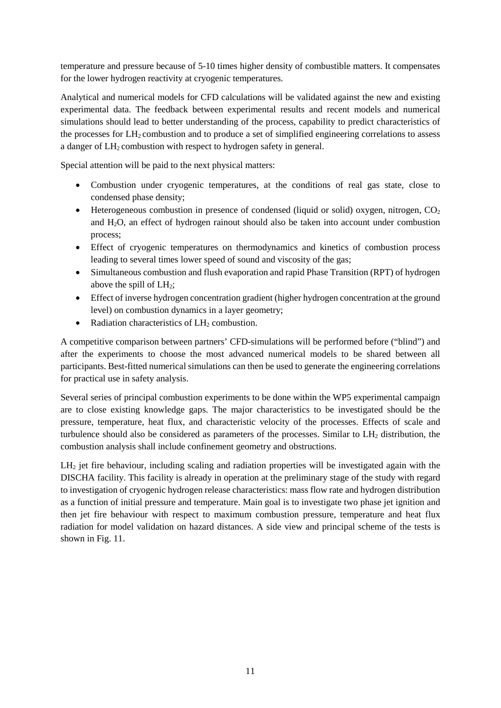temperature and pressure because of 5-10 times higher density of combustible matters. It compensates for the lower hydrogen reactivity at cryogenic temperatures.

Analytical and numerical models for CFD calculations will be validated against the new and existing experimental data. The feedback between experimental results and recent models and numerical simulations should lead to better understanding of the process, capability to predict characteristics of the processes for  $LH_2$  combustion and to produce a set of simplified engineering correlations to assess a danger of LH<sub>2</sub> combustion with respect to hydrogen safety in general.

Special attention will be paid to the next physical matters:

- Combustion under cryogenic temperatures, at the conditions of real gas state, close to condensed phase density;
- Heterogeneous combustion in presence of condensed (liquid or solid) oxygen, nitrogen,  $CO<sub>2</sub>$ and H2O, an effect of hydrogen rainout should also be taken into account under combustion process;
- Effect of cryogenic temperatures on thermodynamics and kinetics of combustion process leading to several times lower speed of sound and viscosity of the gas;
- Simultaneous combustion and flush evaporation and rapid Phase Transition (RPT) of hydrogen above the spill of  $LH_2$ ;
- Effect of inverse hydrogen concentration gradient (higher hydrogen concentration at the ground level) on combustion dynamics in a layer geometry;
- Radiation characteristics of  $LH_2$  combustion.

A competitive comparison between partners' CFD-simulations will be performed before ("blind") and after the experiments to choose the most advanced numerical models to be shared between all participants. Best-fitted numerical simulations can then be used to generate the engineering correlations for practical use in safety analysis.

Several series of principal combustion experiments to be done within the WP5 experimental campaign are to close existing knowledge gaps. The major characteristics to be investigated should be the pressure, temperature, heat flux, and characteristic velocity of the processes. Effects of scale and turbulence should also be considered as parameters of the processes. Similar to LH2 distribution, the combustion analysis shall include confinement geometry and obstructions.

LH<sub>2</sub> jet fire behaviour, including scaling and radiation properties will be investigated again with the DISCHA facility. This facility is already in operation at the preliminary stage of the study with regard to investigation of cryogenic hydrogen release characteristics: mass flow rate and hydrogen distribution as a function of initial pressure and temperature. Main goal is to investigate two phase jet ignition and then jet fire behaviour with respect to maximum combustion pressure, temperature and heat flux radiation for model validation on hazard distances. A side view and principal scheme of the tests is shown in Fig. 11.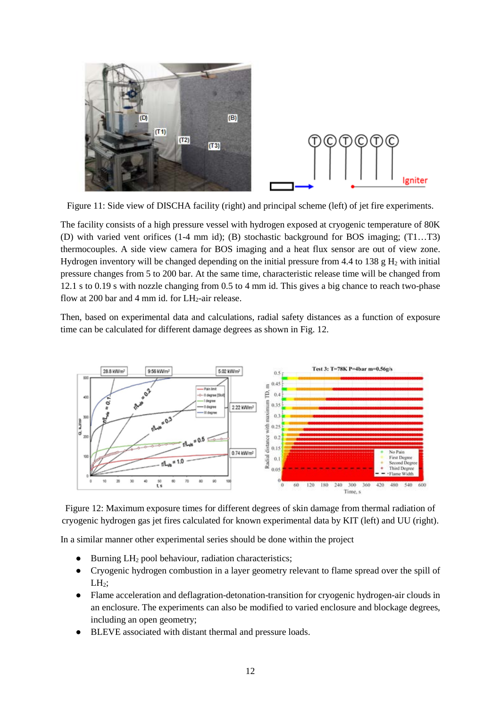

Figure 11: Side view of DISCHA facility (right) and principal scheme (left) of jet fire experiments.

The facility consists of a high pressure vessel with hydrogen exposed at cryogenic temperature of 80K (D) with varied vent orifices (1-4 mm id); (B) stochastic background for BOS imaging; (T1…T3) thermocouples. A side view camera for BOS imaging and a heat flux sensor are out of view zone. Hydrogen inventory will be changed depending on the initial pressure from 4.4 to 138 g  $H_2$  with initial pressure changes from 5 to 200 bar. At the same time, characteristic release time will be changed from 12.1 s to 0.19 s with nozzle changing from 0.5 to 4 mm id. This gives a big chance to reach two-phase flow at 200 bar and 4 mm id. for  $LH_2$ -air release.

Then, based on experimental data and calculations, radial safety distances as a function of exposure time can be calculated for different damage degrees as shown in Fig. 12.



Figure 12: Maximum exposure times for different degrees of skin damage from thermal radiation of cryogenic hydrogen gas jet fires calculated for known experimental data by KIT (left) and UU (right).

In a similar manner other experimental series should be done within the project

- $\bullet$  Burning LH<sub>2</sub> pool behaviour, radiation characteristics;
- Cryogenic hydrogen combustion in a layer geometry relevant to flame spread over the spill of  $LH<sub>2</sub>$ ;
- Flame acceleration and deflagration-detonation-transition for cryogenic hydrogen-air clouds in an enclosure. The experiments can also be modified to varied enclosure and blockage degrees, including an open geometry;
- BLEVE associated with distant thermal and pressure loads.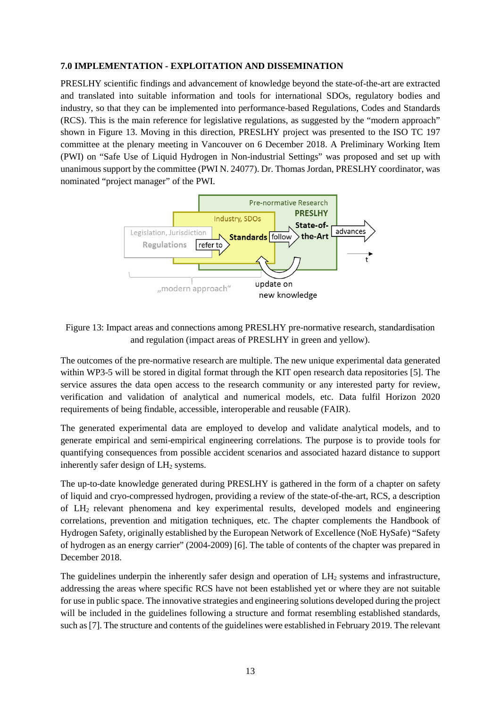#### **7.0 IMPLEMENTATION - EXPLOITATION AND DISSEMINATION**

PRESLHY scientific findings and advancement of knowledge beyond the state-of-the-art are extracted and translated into suitable information and tools for international SDOs, regulatory bodies and industry, so that they can be implemented into performance-based Regulations, Codes and Standards (RCS). This is the main reference for legislative regulations, as suggested by the "modern approach" shown in Figure 13. Moving in this direction, PRESLHY project was presented to the ISO TC 197 committee at the plenary meeting in Vancouver on 6 December 2018. A Preliminary Working Item (PWI) on "Safe Use of Liquid Hydrogen in Non-industrial Settings" was proposed and set up with unanimous support by the committee (PWI N. 24077). Dr. Thomas Jordan, PRESLHY coordinator, was nominated "project manager" of the PWI.



# Figure 13: Impact areas and connections among PRESLHY pre-normative research, standardisation and regulation (impact areas of PRESLHY in green and yellow).

The outcomes of the pre-normative research are multiple. The new unique experimental data generated within WP3-5 will be stored in digital format through the KIT open research data repositories [5]. The service assures the data open access to the research community or any interested party for review, verification and validation of analytical and numerical models, etc. Data fulfil Horizon 2020 requirements of being findable, accessible, interoperable and reusable (FAIR).

The generated experimental data are employed to develop and validate analytical models, and to generate empirical and semi-empirical engineering correlations. The purpose is to provide tools for quantifying consequences from possible accident scenarios and associated hazard distance to support inherently safer design of  $LH<sub>2</sub>$  systems.

The up-to-date knowledge generated during PRESLHY is gathered in the form of a chapter on safety of liquid and cryo-compressed hydrogen, providing a review of the state-of-the-art, RCS, a description of LH2 relevant phenomena and key experimental results, developed models and engineering correlations, prevention and mitigation techniques, etc. The chapter complements the Handbook of Hydrogen Safety, originally established by the European Network of Excellence (NoE HySafe) "Safety of hydrogen as an energy carrier" (2004-2009) [6]. The table of contents of the chapter was prepared in December 2018.

The guidelines underpin the inherently safer design and operation of  $LH<sub>2</sub>$  systems and infrastructure, addressing the areas where specific RCS have not been established yet or where they are not suitable for use in public space. The innovative strategies and engineering solutions developed during the project will be included in the guidelines following a structure and format resembling established standards, such as [7]. The structure and contents of the guidelines were established in February 2019. The relevant